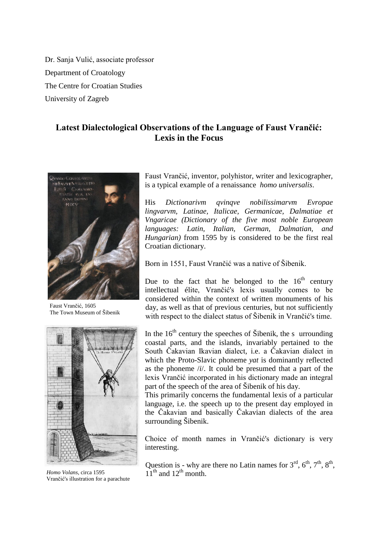Dr. Sanja Vulić, associate professor Department of Croatology The Centre for Croatian Studies University of Zagreb

## **Latest Dialectological Observations of the Language of Faust Vrančić: Lexis in the Focus**



Faust Vrančić, 1605 The Town Museum of Šibenik



*Homo Volans*, circa 1595 Vrančić's illustration for a parachute

Faust Vrančić, inventor, polyhistor, writer and lexicographer, is a typical example of a renaissance *homo universalis*.

His *Dictionarivm qvinqve nobilissimarvm Evropae lingvarvm, Latinae, Italicae, Germanicae, Dalmatiae et Vngaricae (Dictionary of the five most noble European languages: Latin, Italian, German, Dalmatian, and Hungarian)* from 1595 by is considered to be the first real Croatian dictionary.

Born in 1551, Faust Vrančić was a native of Šibenik.

Due to the fact that he belonged to the  $16<sup>th</sup>$  century intellectual élite, Vrančić's lexis usually comes to be considered within the context of written monuments of his day, as well as that of previous centuries, but not sufficiently with respect to the dialect status of Šibenik in Vrančić's time.

In the  $16<sup>th</sup>$  century the speeches of Šibenik, the s urrounding coastal parts, and the islands, invariably pertained to the South Čakavian Ikavian dialect, i.e. a Čakavian dialect in which the Proto-Slavic phoneme *yat* is dominantly reflected as the phoneme /*i*/. It could be presumed that a part of the lexis Vrančić incorporated in his dictionary made an integral part of the speech of the area of Šibenik of his day.

This primarily concerns the fundamental lexis of a particular language, i.e. the speech up to the present day employed in the Čakavian and basically Čakavian dialects of the area surrounding Šibenik.

Choice of month names in Vrančić's dictionary is very interesting.

Question is - why are there no Latin names for  $3<sup>rd</sup>$ ,  $6<sup>th</sup>$ ,  $7<sup>th</sup>$ ,  $8<sup>th</sup>$ ,  $11<sup>th</sup>$  and  $12<sup>th</sup>$  month.